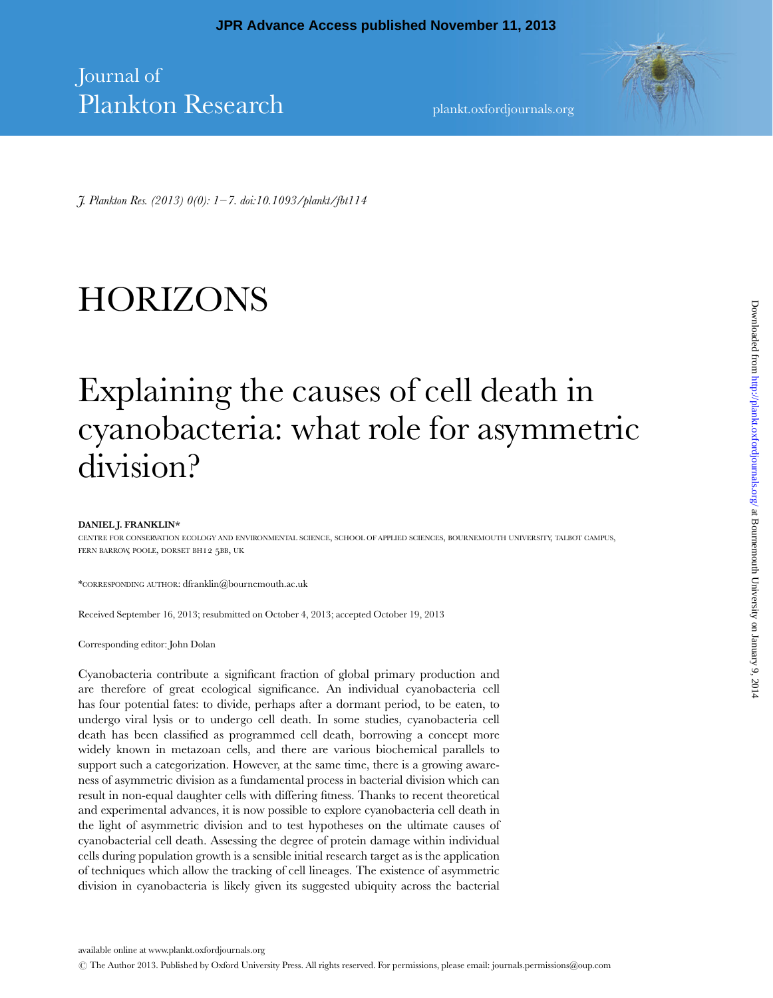# Journal of Plankton Research plankt.oxfordjournals.org

J. Plankton Res. (2013) 0(0): 1– 7. doi:10.1093/plankt/fbt114

# HORIZONS

# Explaining the causes of cell death in cyanobacteria: what role for asymmetric division?

#### DANIEL J. FRANKLIN\*

CENTRE FOR CONSERVATION ECOLOGY AND ENVIRONMENTAL SCIENCE, SCHOOL OF APPLIED SCIENCES, BOURNEMOUTH UNIVERSITY, TALBOT CAMPUS, FERN BARROW, POOLE, DORSET BH12 5BB, UK

\*CORRESPONDING AUTHOR: dfranklin@bournemouth.ac.uk

Received September 16, 2013; resubmitted on October 4, 2013; accepted October 19, 2013

Corresponding editor: John Dolan

Cyanobacteria contribute a significant fraction of global primary production and are therefore of great ecological significance. An individual cyanobacteria cell has four potential fates: to divide, perhaps after a dormant period, to be eaten, to undergo viral lysis or to undergo cell death. In some studies, cyanobacteria cell death has been classified as programmed cell death, borrowing a concept more widely known in metazoan cells, and there are various biochemical parallels to support such a categorization. However, at the same time, there is a growing awareness of asymmetric division as a fundamental process in bacterial division which can result in non-equal daughter cells with differing fitness. Thanks to recent theoretical and experimental advances, it is now possible to explore cyanobacteria cell death in the light of asymmetric division and to test hypotheses on the ultimate causes of cyanobacterial cell death. Assessing the degree of protein damage within individual cells during population growth is a sensible initial research target as is the application of techniques which allow the tracking of cell lineages. The existence of asymmetric division in cyanobacteria is likely given its suggested ubiquity across the bacterial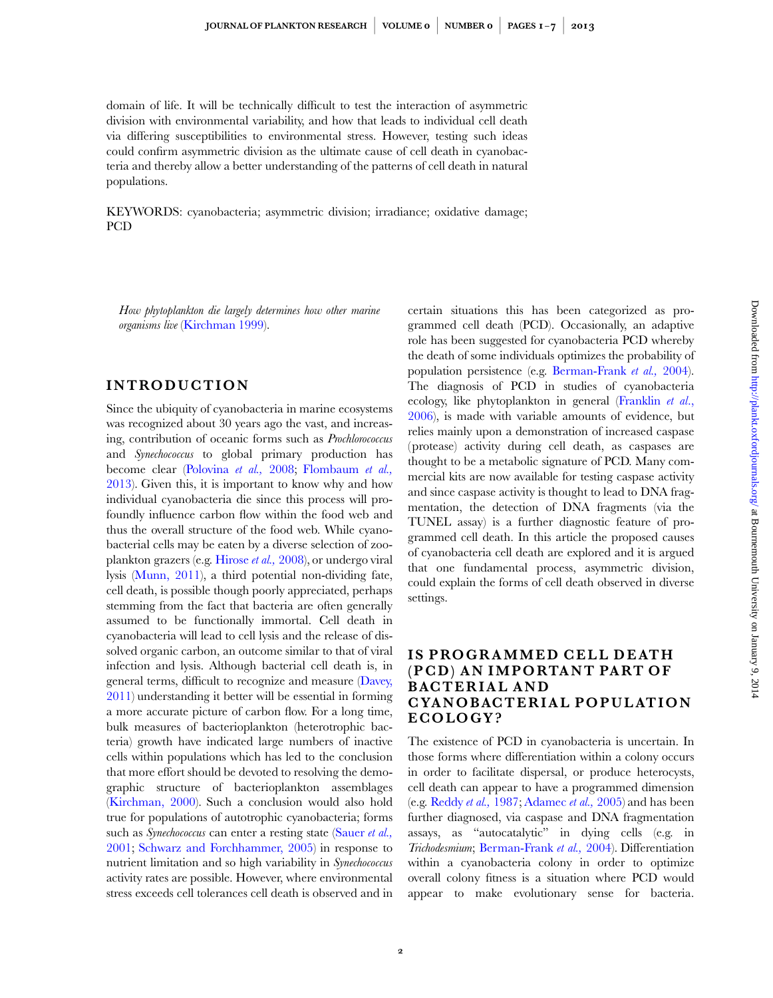domain of life. It will be technically difficult to test the interaction of asymmetric division with environmental variability, and how that leads to individual cell death via differing susceptibilities to environmental stress. However, testing such ideas could confirm asymmetric division as the ultimate cause of cell death in cyanobacteria and thereby allow a better understanding of the patterns of cell death in natural populations.

KEYWORDS: cyanobacteria; asymmetric division; irradiance; oxidative damage; PCD

How phytoplankton die largely determines how other marine organisms live [\(Kirchman 1999\)](#page-5-0).

#### INTRODUCTION

Since the ubiquity of cyanobacteria in marine ecosystems was recognized about 30 years ago the vast, and increasing, contribution of oceanic forms such as Prochlorococcus and Synechococcus to global primary production has become clear [\(Polovina](#page-5-0) et al., 2008; [Flombaum](#page-5-0) et al., [2013](#page-5-0)). Given this, it is important to know why and how individual cyanobacteria die since this process will profoundly influence carbon flow within the food web and thus the overall structure of the food web. While cyanobacterial cells may be eaten by a diverse selection of zooplankton grazers (e.g. [Hirose](#page-5-0) et al., 2008), or undergo viral lysis ([Munn, 2011\)](#page-5-0), a third potential non-dividing fate, cell death, is possible though poorly appreciated, perhaps stemming from the fact that bacteria are often generally assumed to be functionally immortal. Cell death in cyanobacteria will lead to cell lysis and the release of dissolved organic carbon, an outcome similar to that of viral infection and lysis. Although bacterial cell death is, in general terms, difficult to recognize and measure ([Davey,](#page-5-0) [2011](#page-5-0)) understanding it better will be essential in forming a more accurate picture of carbon flow. For a long time, bulk measures of bacterioplankton (heterotrophic bacteria) growth have indicated large numbers of inactive cells within populations which has led to the conclusion that more effort should be devoted to resolving the demographic structure of bacterioplankton assemblages ([Kirchman, 2000\)](#page-5-0). Such a conclusion would also hold true for populations of autotrophic cyanobacteria; forms such as Synechococcus can enter a resting state ([Sauer](#page-5-0) et al., [2001](#page-5-0); [Schwarz and Forchhammer, 2005](#page-6-0)) in response to nutrient limitation and so high variability in Synechococcus activity rates are possible. However, where environmental stress exceeds cell tolerances cell death is observed and in certain situations this has been categorized as programmed cell death (PCD). Occasionally, an adaptive role has been suggested for cyanobacteria PCD whereby the death of some individuals optimizes the probability of population persistence (e.g. [Berman-Frank](#page-5-0) et al., 2004). The diagnosis of PCD in studies of cyanobacteria ecology, like phytoplankton in general [\(Franklin](#page-5-0) et al., [2006](#page-5-0)), is made with variable amounts of evidence, but relies mainly upon a demonstration of increased caspase ( protease) activity during cell death, as caspases are thought to be a metabolic signature of PCD. Many commercial kits are now available for testing caspase activity and since caspase activity is thought to lead to DNA fragmentation, the detection of DNA fragments (via the TUNEL assay) is a further diagnostic feature of programmed cell death. In this article the proposed causes of cyanobacteria cell death are explored and it is argued that one fundamental process, asymmetric division, could explain the forms of cell death observed in diverse settings.

### IS PROGRAMMED CELL DEATH (PCD) AN IMPORTANT PART OF BACTERIAL AND CYANOBACTER IAL POPULAT ION ECOLOGY?

The existence of PCD in cyanobacteria is uncertain. In those forms where differentiation within a colony occurs in order to facilitate dispersal, or produce heterocysts, cell death can appear to have a programmed dimension (e.g. [Reddy](#page-5-0) et al., 1987; [Adamec](#page-4-0) et al., 2005) and has been further diagnosed, via caspase and DNA fragmentation assays, as "autocatalytic" in dying cells (e.g. in Trichodesmium; [Berman-Frank](#page-5-0) et al., 2004). Differentiation within a cyanobacteria colony in order to optimize overall colony fitness is a situation where PCD would appear to make evolutionary sense for bacteria.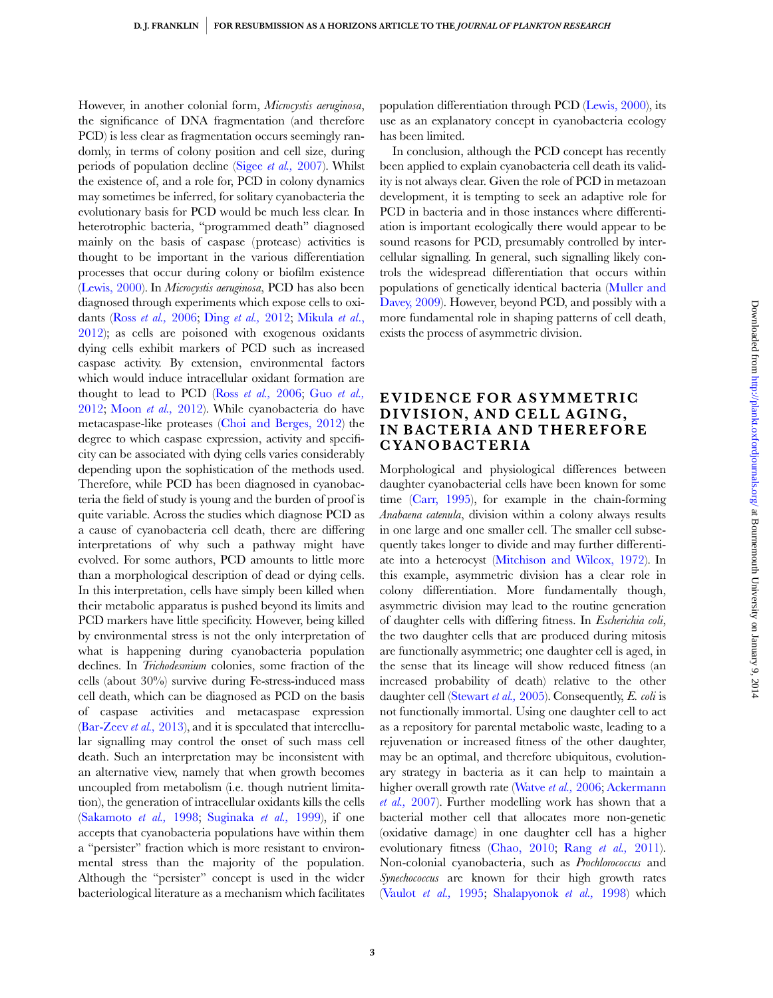However, in another colonial form, Microcystis aeruginosa, the significance of DNA fragmentation (and therefore PCD) is less clear as fragmentation occurs seemingly randomly, in terms of colony position and cell size, during periods of population decline [\(Sigee](#page-6-0) et al., 2007). Whilst the existence of, and a role for, PCD in colony dynamics may sometimes be inferred, for solitary cyanobacteria the evolutionary basis for PCD would be much less clear. In heterotrophic bacteria, "programmed death" diagnosed mainly on the basis of caspase ( protease) activities is thought to be important in the various differentiation processes that occur during colony or biofilm existence [\(Lewis, 2000](#page-5-0)). In Microcystis aeruginosa, PCD has also been diagnosed through experiments which expose cells to oxidants (Ross [et al.,](#page-5-0) 2006; Ding [et al.,](#page-5-0) 2012; [Mikula](#page-5-0) et al., [2012](#page-5-0)); as cells are poisoned with exogenous oxidants dying cells exhibit markers of PCD such as increased caspase activity. By extension, environmental factors which would induce intracellular oxidant formation are thought to lead to PCD (Ross [et al.,](#page-5-0) 2006; Guo et al., [2012](#page-5-0); [Moon](#page-5-0) et al., 2012). While cyanobacteria do have metacaspase-like proteases [\(Choi and Berges, 2012\)](#page-5-0) the degree to which caspase expression, activity and specificity can be associated with dying cells varies considerably depending upon the sophistication of the methods used. Therefore, while PCD has been diagnosed in cyanobacteria the field of study is young and the burden of proof is quite variable. Across the studies which diagnose PCD as a cause of cyanobacteria cell death, there are differing interpretations of why such a pathway might have evolved. For some authors, PCD amounts to little more than a morphological description of dead or dying cells. In this interpretation, cells have simply been killed when their metabolic apparatus is pushed beyond its limits and PCD markers have little specificity. However, being killed by environmental stress is not the only interpretation of what is happening during cyanobacteria population declines. In Trichodesmium colonies, some fraction of the cells (about 30%) survive during Fe-stress-induced mass cell death, which can be diagnosed as PCD on the basis of caspase activities and metacaspase expression [\(Bar-Zeev](#page-5-0) *et al.*, 2013), and it is speculated that intercellular signalling may control the onset of such mass cell death. Such an interpretation may be inconsistent with an alternative view, namely that when growth becomes uncoupled from metabolism (i.e. though nutrient limitation), the generation of intracellular oxidants kills the cells [\(Sakamoto](#page-6-0) et al., 1998; [Suginaka](#page-6-0) et al., 1999), if one accepts that cyanobacteria populations have within them a "persister" fraction which is more resistant to environmental stress than the majority of the population. Although the "persister" concept is used in the wider bacteriological literature as a mechanism which facilitates

population differentiation through PCD [\(Lewis, 2000\)](#page-5-0), its use as an explanatory concept in cyanobacteria ecology has been limited.

In conclusion, although the PCD concept has recently been applied to explain cyanobacteria cell death its validity is not always clear. Given the role of PCD in metazoan development, it is tempting to seek an adaptive role for PCD in bacteria and in those instances where differentiation is important ecologically there would appear to be sound reasons for PCD, presumably controlled by intercellular signalling. In general, such signalling likely controls the widespread differentiation that occurs within populations of genetically identical bacteria [\(Muller and](#page-5-0) [Davey, 2009](#page-5-0)). However, beyond PCD, and possibly with a more fundamental role in shaping patterns of cell death, exists the process of asymmetric division.

### EVIDENCE FOR ASYMMETRIC DIVISION, AND CELL AGING, IN BACTERIA AND THEREFORE **CYANOBACTERIA**

Morphological and physiological differences between daughter cyanobacterial cells have been known for some time ([Carr, 1995](#page-5-0)), for example in the chain-forming Anabaena catenula, division within a colony always results in one large and one smaller cell. The smaller cell subsequently takes longer to divide and may further differentiate into a heterocyst ([Mitchison and Wilcox, 1972\)](#page-5-0). In this example, asymmetric division has a clear role in colony differentiation. More fundamentally though, asymmetric division may lead to the routine generation of daughter cells with differing fitness. In Escherichia coli, the two daughter cells that are produced during mitosis are functionally asymmetric; one daughter cell is aged, in the sense that its lineage will show reduced fitness (an increased probability of death) relative to the other daughter cell ([Stewart](#page-6-0) et al., 2005). Consequently, E. coli is not functionally immortal. Using one daughter cell to act as a repository for parental metabolic waste, leading to a rejuvenation or increased fitness of the other daughter, may be an optimal, and therefore ubiquitous, evolutionary strategy in bacteria as it can help to maintain a higher overall growth rate [\(Watve](#page-6-0) et al., 2006; [Ackermann](#page-4-0) [et al.,](#page-4-0) 2007). Further modelling work has shown that a bacterial mother cell that allocates more non-genetic (oxidative damage) in one daughter cell has a higher evolutionary fitness [\(Chao, 2010](#page-5-0); Rang [et al.,](#page-5-0) 2011). Non-colonial cyanobacteria, such as Prochlorococcus and Synechococcus are known for their high growth rates [\(Vaulot](#page-6-0) et al., 1995; [Shalapyonok](#page-6-0) et al., 1998) which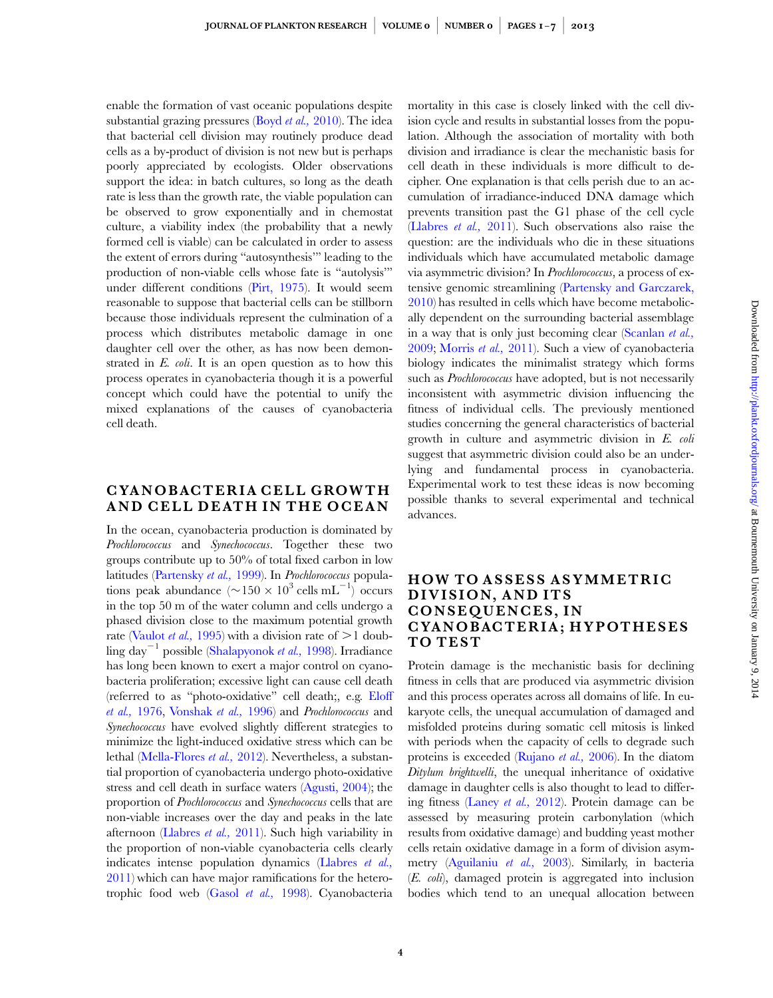enable the formation of vast oceanic populations despite substantial grazing pressures ([Boyd](#page-5-0) et al., 2010). The idea that bacterial cell division may routinely produce dead cells as a by-product of division is not new but is perhaps poorly appreciated by ecologists. Older observations support the idea: in batch cultures, so long as the death rate is less than the growth rate, the viable population can be observed to grow exponentially and in chemostat culture, a viability index (the probability that a newly formed cell is viable) can be calculated in order to assess the extent of errors during "autosynthesis'" leading to the production of non-viable cells whose fate is "autolysis'" under different conditions [\(Pirt, 1975](#page-5-0)). It would seem reasonable to suppose that bacterial cells can be stillborn because those individuals represent the culmination of a process which distributes metabolic damage in one daughter cell over the other, as has now been demonstrated in E. coli. It is an open question as to how this process operates in cyanobacteria though it is a powerful concept which could have the potential to unify the mixed explanations of the causes of cyanobacteria cell death.

## CYANOBACTER IA CELL GROWTH AND CELL DEATH IN THE OCEAN

In the ocean, cyanobacteria production is dominated by Prochlorococcus and Synechococcus. Together these two groups contribute up to 50% of total fixed carbon in low latitudes ([Partensky](#page-5-0) et al., 1999). In Prochlorococcus populations peak abundance  $(\sim 150 \times 10^3 \text{ cells mL}^{-1})$  occurs in the top 50 m of the water column and cells undergo a phased division close to the maximum potential growth rate ([Vaulot](#page-6-0) *et al.*, 1995) with a division rate of  $>1$  doub-ling day<sup>-1</sup> possible ([Shalapyonok](#page-6-0) *et al.*, 1998). Irradiance has long been known to exert a major control on cyanobacteria proliferation; excessive light can cause cell death (referred to as "photo-oxidative" cell death;, e.g. [Eloff](#page-5-0) et al., [1976,](#page-5-0) [Vonshak](#page-6-0) et al., 1996) and Prochlorococcus and Synechococcus have evolved slightly different strategies to minimize the light-induced oxidative stress which can be lethal ([Mella-Flores](#page-5-0) et al., 2012). Nevertheless, a substantial proportion of cyanobacteria undergo photo-oxidative stress and cell death in surface waters ([Agusti, 2004](#page-5-0)); the proportion of Prochlorococcus and Synechococcus cells that are non-viable increases over the day and peaks in the late afternoon [\(Llabres](#page-5-0) et al., 2011). Such high variability in the proportion of non-viable cyanobacteria cells clearly indicates intense population dynamics ([Llabres](#page-5-0) et al., [2011](#page-5-0)) which can have major ramifications for the heterotrophic food web [\(Gasol](#page-5-0) et al., 1998). Cyanobacteria

mortality in this case is closely linked with the cell division cycle and results in substantial losses from the population. Although the association of mortality with both division and irradiance is clear the mechanistic basis for cell death in these individuals is more difficult to decipher. One explanation is that cells perish due to an accumulation of irradiance-induced DNA damage which prevents transition past the G1 phase of the cell cycle ([Llabres](#page-5-0) et al., 2011). Such observations also raise the question: are the individuals who die in these situations individuals which have accumulated metabolic damage via asymmetric division? In Prochlorococcus, a process of extensive genomic streamlining [\(Partensky and Garczarek,](#page-5-0) [2010](#page-5-0)) has resulted in cells which have become metabolically dependent on the surrounding bacterial assemblage in a way that is only just becoming clear ([Scanlan](#page-6-0) et al., [2009](#page-6-0); [Morris](#page-5-0) et al., 2011). Such a view of cyanobacteria biology indicates the minimalist strategy which forms such as *Prochlorococcus* have adopted, but is not necessarily inconsistent with asymmetric division influencing the fitness of individual cells. The previously mentioned studies concerning the general characteristics of bacterial growth in culture and asymmetric division in E. coli suggest that asymmetric division could also be an underlying and fundamental process in cyanobacteria. Experimental work to test these ideas is now becoming possible thanks to several experimental and technical advances.

### HOW TO ASSESS ASYMMETRIC DIVISION, AND ITS CONSEQUENCES, IN CYANOBACTER IA; HYPOTHESES TO TEST

Protein damage is the mechanistic basis for declining fitness in cells that are produced via asymmetric division and this process operates across all domains of life. In eukaryote cells, the unequal accumulation of damaged and misfolded proteins during somatic cell mitosis is linked with periods when the capacity of cells to degrade such proteins is exceeded [\(Rujano](#page-5-0) et al., 2006). In the diatom Ditylum brightwelli, the unequal inheritance of oxidative damage in daughter cells is also thought to lead to differing fitness ([Laney](#page-5-0) et al., 2012). Protein damage can be assessed by measuring protein carbonylation (which results from oxidative damage) and budding yeast mother cells retain oxidative damage in a form of division asymmetry [\(Aguilaniu](#page-5-0) et al., 2003). Similarly, in bacteria (E. coli), damaged protein is aggregated into inclusion bodies which tend to an unequal allocation between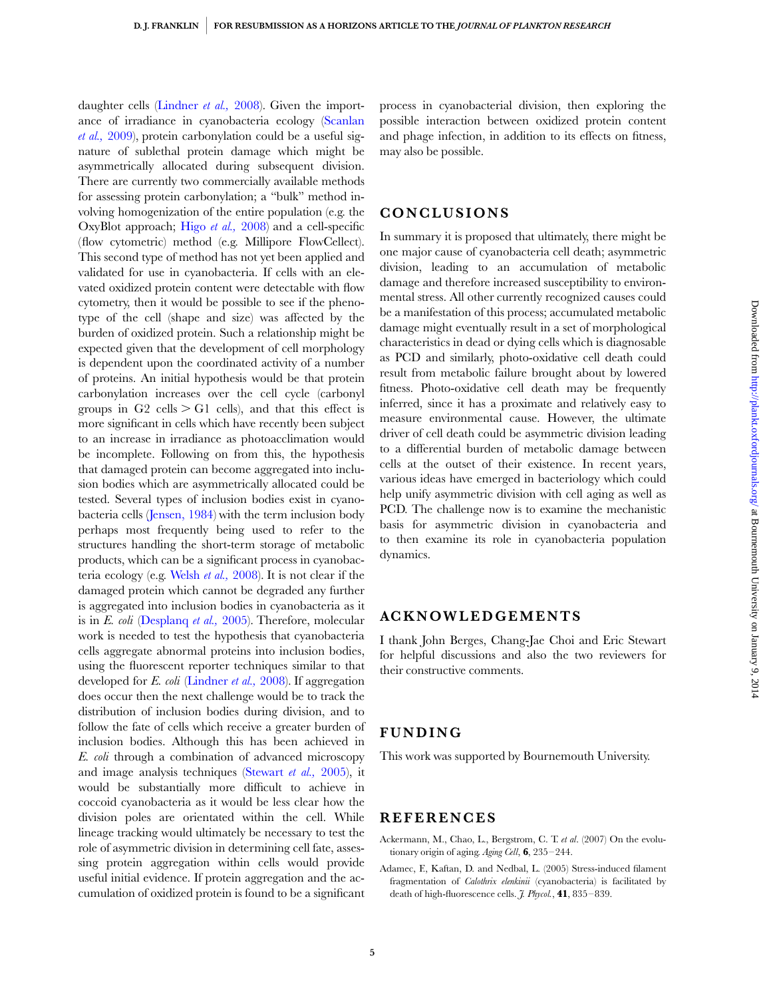<span id="page-4-0"></span>daughter cells ([Lindner](#page-5-0) *et al.*, 2008). Given the importance of irradiance in cyanobacteria ecology [\(Scanlan](#page-6-0) et al., [2009](#page-6-0)), protein carbonylation could be a useful signature of sublethal protein damage which might be asymmetrically allocated during subsequent division. There are currently two commercially available methods for assessing protein carbonylation; a "bulk" method involving homogenization of the entire population (e.g. the OxyBlot approach; [Higo](#page-5-0) et al., 2008) and a cell-specific (flow cytometric) method (e.g. Millipore FlowCellect). This second type of method has not yet been applied and validated for use in cyanobacteria. If cells with an elevated oxidized protein content were detectable with flow cytometry, then it would be possible to see if the phenotype of the cell (shape and size) was affected by the burden of oxidized protein. Such a relationship might be expected given that the development of cell morphology is dependent upon the coordinated activity of a number of proteins. An initial hypothesis would be that protein carbonylation increases over the cell cycle (carbonyl groups in G2 cells  $>$  G1 cells), and that this effect is more significant in cells which have recently been subject to an increase in irradiance as photoacclimation would be incomplete. Following on from this, the hypothesis that damaged protein can become aggregated into inclusion bodies which are asymmetrically allocated could be tested. Several types of inclusion bodies exist in cyanobacteria cells [\(Jensen, 1984](#page-5-0)) with the term inclusion body perhaps most frequently being used to refer to the structures handling the short-term storage of metabolic products, which can be a significant process in cyanobacteria ecology (e.g. [Welsh](#page-6-0) et al., 2008). It is not clear if the damaged protein which cannot be degraded any further is aggregated into inclusion bodies in cyanobacteria as it is in E. coli ([Desplanq](#page-5-0) et al., 2005). Therefore, molecular work is needed to test the hypothesis that cyanobacteria cells aggregate abnormal proteins into inclusion bodies, using the fluorescent reporter techniques similar to that developed for E. coli [\(Lindner](#page-5-0) et al., 2008). If aggregation does occur then the next challenge would be to track the distribution of inclusion bodies during division, and to follow the fate of cells which receive a greater burden of inclusion bodies. Although this has been achieved in E. coli through a combination of advanced microscopy and image analysis techniques ([Stewart](#page-6-0) et al., 2005), it would be substantially more difficult to achieve in coccoid cyanobacteria as it would be less clear how the division poles are orientated within the cell. While lineage tracking would ultimately be necessary to test the role of asymmetric division in determining cell fate, assessing protein aggregation within cells would provide useful initial evidence. If protein aggregation and the accumulation of oxidized protein is found to be a significant

process in cyanobacterial division, then exploring the possible interaction between oxidized protein content and phage infection, in addition to its effects on fitness, may also be possible.

#### CONCLUSIONS

In summary it is proposed that ultimately, there might be one major cause of cyanobacteria cell death; asymmetric division, leading to an accumulation of metabolic damage and therefore increased susceptibility to environmental stress. All other currently recognized causes could be a manifestation of this process; accumulated metabolic damage might eventually result in a set of morphological characteristics in dead or dying cells which is diagnosable as PCD and similarly, photo-oxidative cell death could result from metabolic failure brought about by lowered fitness. Photo-oxidative cell death may be frequently inferred, since it has a proximate and relatively easy to measure environmental cause. However, the ultimate driver of cell death could be asymmetric division leading to a differential burden of metabolic damage between cells at the outset of their existence. In recent years, various ideas have emerged in bacteriology which could help unify asymmetric division with cell aging as well as PCD. The challenge now is to examine the mechanistic basis for asymmetric division in cyanobacteria and to then examine its role in cyanobacteria population dynamics.

#### ACKNOWLEDGEMENTS

I thank John Berges, Chang-Jae Choi and Eric Stewart for helpful discussions and also the two reviewers for their constructive comments.

#### FUNDING

This work was supported by Bournemouth University.

#### REFERENCES

- Ackermann, M., Chao, L., Bergstrom, C. T. et al. (2007) On the evolutionary origin of aging. Aging Cell,  $6$ , 235–244.
- Adamec, F., Kaftan, D. and Nedbal, L. (2005) Stress-induced filament fragmentation of Calothrix elenkinii (cyanobacteria) is facilitated by death of high-fluorescence cells.  $\tilde{J}$ . Phycol., 41, 835-839.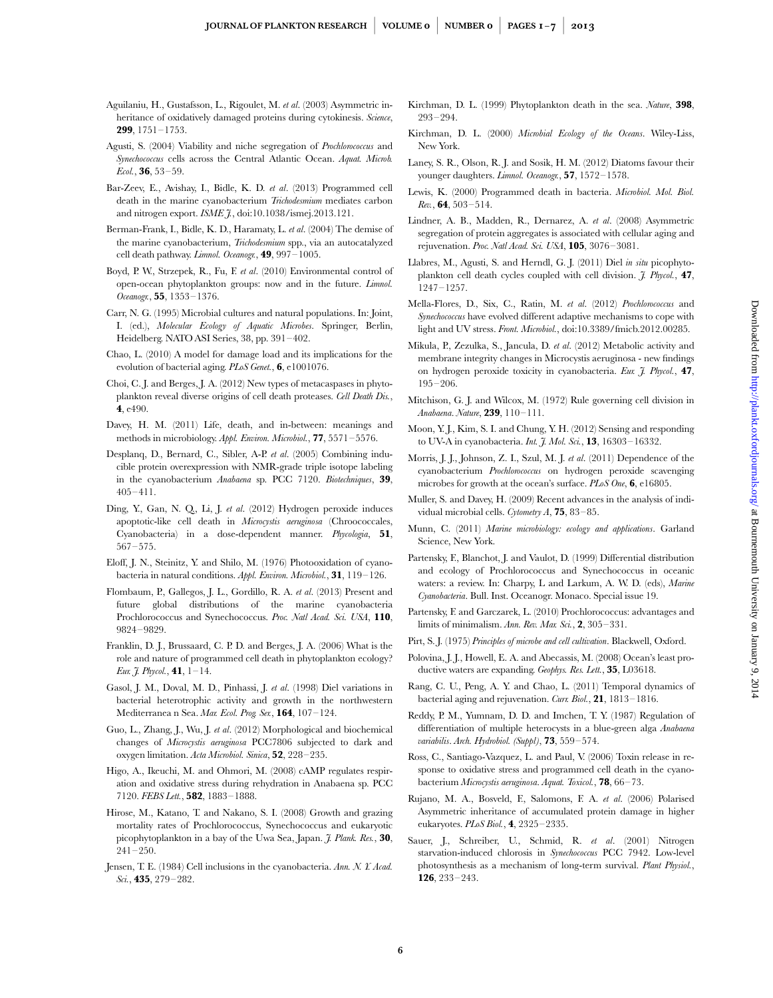- <span id="page-5-0"></span>Aguilaniu, H., Gustafsson, L., Rigoulet, M. et al. (2003) Asymmetric inheritance of oxidatively damaged proteins during cytokinesis. Science, 299, 1751–1753.
- Agusti, S. (2004) Viability and niche segregation of Prochlorococcus and Synechococcus cells across the Central Atlantic Ocean. Aquat. Microb.  $Ecol.,$  36, 53-59.
- Bar-Zeev, E., Avishay, I., Bidle, K. D. et al. (2013) Programmed cell death in the marine cyanobacterium Trichodesmium mediates carbon and nitrogen export. ISME  $\tilde{j}$ , doi:10.1038/ismej.2013.121.
- Berman-Frank, I., Bidle, K. D., Haramaty, L. et al. (2004) The demise of the marine cyanobacterium, Trichodesmium spp., via an autocatalyzed cell death pathway. Limnol. Oceanogr., 49, 997-1005.
- Boyd, P. W., Strzepek, R., Fu, F. et al. (2010) Environmental control of open-ocean phytoplankton groups: now and in the future. Limnol. Oceanogr., **55**, 1353-1376.
- Carr, N. G. (1995) Microbial cultures and natural populations. In: Joint, I. (ed.), Molecular Ecology of Aquatic Microbes. Springer, Berlin, Heidelberg. NATO ASI Series, 38, pp. 391–402.
- Chao, L. (2010) A model for damage load and its implications for the evolution of bacterial aging. PLoS Genet., 6, e1001076.
- Choi, C. J. and Berges, J. A. (2012) New types of metacaspases in phytoplankton reveal diverse origins of cell death proteases. Cell Death Dis., 4, e490.
- Davey, H. M. (2011) Life, death, and in-between: meanings and methods in microbiology. Appl. Environ. Microbiol., 77, 5571–5576.
- Desplanq, D., Bernard, C., Sibler, A-P. et al. (2005) Combining inducible protein overexpression with NMR-grade triple isotope labeling in the cyanobacterium Anabaena sp. PCC 7120. Biotechniques, 39, 405–411.
- Ding, Y., Gan, N. Q., Li, J. et al. (2012) Hydrogen peroxide induces apoptotic-like cell death in Microcystis aeruginosa (Chroococcales, Cyanobacteria) in a dose-dependent manner. Phycologia, 51, 567–575.
- Eloff, J. N., Steinitz, Y. and Shilo, M. (1976) Photooxidation of cyanobacteria in natural conditions. Appl. Environ. Microbiol., 31, 119– 126.
- Flombaum, P., Gallegos, J. L., Gordillo, R. A. et al. (2013) Present and future global distributions of the marine cyanobacteria Prochlorococcus and Synechococcus. Proc. Natl Acad. Sci. USA, 110, 9824– 9829.
- Franklin, D. J., Brussaard, C. P. D. and Berges, J. A. (2006) What is the role and nature of programmed cell death in phytoplankton ecology? Eur. J. Phycol.,  $41$ ,  $1-14$ .
- Gasol, J. M., Doval, M. D., Pinhassi, J. et al. (1998) Diel variations in bacterial heterotrophic activity and growth in the northwestern Mediterranea n Sea. Mar. Ecol. Prog. Ser., 164, 107–124.
- Guo, L., Zhang, J., Wu, J. et al. (2012) Morphological and biochemical changes of Microcystis aeruginosa PCC7806 subjected to dark and oxygen limitation. Acta Microbiol. Sinica, 52, 228– 235.
- Higo, A., Ikeuchi, M. and Ohmori, M. (2008) cAMP regulates respiration and oxidative stress during rehydration in Anabaena sp. PCC 7120. FEBS Lett., 582, 1883-1888.
- Hirose, M., Katano, T. and Nakano, S. I. (2008) Growth and grazing mortality rates of Prochlorococcus, Synechococcus and eukaryotic picophytoplankton in a bay of the Uwa Sea, Japan. J. Plank. Res., 30, 241–250.
- Jensen, T. E. (1984) Cell inclusions in the cyanobacteria. Ann. N. Y. Acad. Sci., 435, 279-282.
- Kirchman, D. L. (1999) Phytoplankton death in the sea. Nature, 398,  $293 - 294.$
- Kirchman, D. L. (2000) Microbial Ecology of the Oceans. Wiley-Liss, New York.
- Laney, S. R., Olson, R. J. and Sosik, H. M. (2012) Diatoms favour their younger daughters. Limnol. Oceanogr., 57, 1572-1578.
- Lewis, K. (2000) Programmed death in bacteria. Microbiol. Mol. Biol.  $Ren$  64, 503–514
- Lindner, A. B., Madden, R., Dernarez, A. et al. (2008) Asymmetric segregation of protein aggregates is associated with cellular aging and rejuvenation. Proc. Natl Acad. Sci. USA, 105, 3076-3081.
- Llabres, M., Agusti, S. and Herndl, G. J. (2011) Diel in situ picophytoplankton cell death cycles coupled with cell division. *J. Phycol.*, 47, 1247–1257.
- Mella-Flores, D., Six, C., Ratin, M. et al. (2012) Prochlorococcus and Synechococcus have evolved different adaptive mechanisms to cope with light and UV stress. Front. Microbiol., doi:10.3389/fmicb.2012.00285.
- Mikula, P., Zezulka, S., Jancula, D. et al. (2012) Metabolic activity and membrane integrity changes in Microcystis aeruginosa - new findings on hydrogen peroxide toxicity in cyanobacteria. Eur. J. Phycol., 47, 195 –206.
- Mitchison, G. J. and Wilcox, M. (1972) Rule governing cell division in Anabaena. Nature, 239, 110–111.
- Moon, Y. J., Kim, S. I. and Chung, Y. H. (2012) Sensing and responding to UV-A in cyanobacteria. Int.  $\tilde{J}$ . Mol. Sci., 13, 16303-16332.
- Morris, J. J., Johnson, Z. I., Szul, M. J. et al. (2011) Dependence of the cyanobacterium Prochlorococcus on hydrogen peroxide scavenging microbes for growth at the ocean's surface. PLoS One, 6, e16805.
- Muller, S. and Davey, H. (2009) Recent advances in the analysis of individual microbial cells. Cytometry A, 75, 83–85.
- Munn, C. (2011) Marine microbiology: ecology and applications. Garland Science, New York.
- Partensky, F., Blanchot, J. and Vaulot, D. (1999) Differential distribution and ecology of Prochlorococcus and Synechococcus in oceanic waters: a review. In: Charpy, L and Larkum, A. W. D. (eds), Marine Cyanobacteria. Bull. Inst. Oceanogr. Monaco. Special issue 19.
- Partensky, F. and Garczarek, L. (2010) Prochlorococcus: advantages and limits of minimalism. Ann. Rev. Mar. Sci., 2, 305-331.
- Pirt, S. J. (1975) Principles of microbe and cell cultivation. Blackwell, Oxford.
- Polovina, J. J., Howell, E. A. and Abecassis, M. (2008) Ocean's least productive waters are expanding. Geophys. Res. Lett., 35, L03618.
- Rang, C. U., Peng, A. Y. and Chao, L. (2011) Temporal dynamics of bacterial aging and rejuvenation. Curr. Biol., 21, 1813– 1816.
- Reddy, P. M., Yumnam, D. D. and Imchen, T. Y. (1987) Regulation of differentiation of multiple heterocysts in a blue-green alga Anabaena variabilis. Arch. Hydrobiol. (Suppl),  $73$ ,  $559-574$ .
- Ross, C., Santiago-Vazquez, L. and Paul, V. (2006) Toxin release in response to oxidative stress and programmed cell death in the cyanobacterium Microcystis aeruginosa. Aquat. Toxicol., 78, 66– 73.
- Rujano, M. A., Bosveld, F., Salomons, F. A. et al. (2006) Polarised Asymmetric inheritance of accumulated protein damage in higher eukaryotes. PLoS Biol., 4, 2325– 2335.
- Sauer, J., Schreiber, U., Schmid, R. et al. (2001) Nitrogen starvation-induced chlorosis in Synechococcus PCC 7942. Low-level photosynthesis as a mechanism of long-term survival. Plant Physiol., 126, 233– 243.